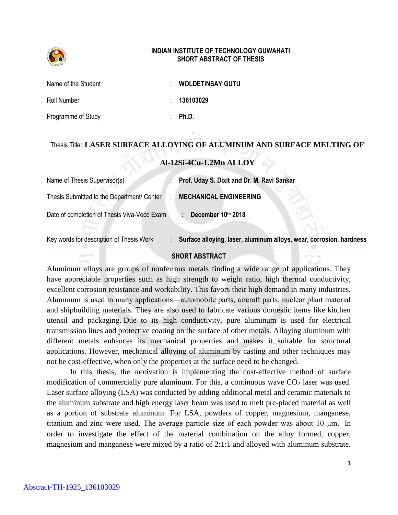

## **INDIAN INSTITUTE OF TECHNOLOGY GUWAHATI SHORT ABSTRACT OF THESIS**

| Name of the Student | <b>WOLDETINSAY GUTU</b> |
|---------------------|-------------------------|
| Roll Number         | : 136103029             |
| Programme of Study  | Ph.D.                   |

## Thesis Title: **LASER SURFACE ALLOYING OF ALUMINUM AND SURFACE MELTING OF**

## **Al-12Si-4Cu-1.2Mn ALLOY**

| Name of Thesis Supervisor(s)                | Prof. Uday S. Dixit and Dr. M. Ravi Sankar                          |
|---------------------------------------------|---------------------------------------------------------------------|
| Thesis Submitted to the Department/ Center  | <b>MECHANICAL ENGINEERING</b>                                       |
| Date of completion of Thesis Viva-Voce Exam | December 10th 2018                                                  |
| Key words for description of Thesis Work    | Surface alloying, laser, aluminum alloys, wear, corrosion, hardness |

## **SHORT ABSTRACT**

Aluminum alloys are groups of nonferrous metals finding a wide range of applications. They have appreciable properties such as high strength to weight ratio, high thermal conductivity, excellent corrosion resistance and workability. This favors their high demand in many industries. Aluminum is used in many applications―automobile parts, aircraft parts, nuclear plant material and shipbuilding materials. They are also used to fabricate various domestic items like kitchen utensil and packaging. Due to its high conductivity, pure aluminum is used for electrical transmission lines and protective coating on the surface of other metals. Alloying aluminum with different metals enhances its mechanical properties and makes it suitable for structural applications. However, mechanical alloying of aluminum by casting and other techniques may not be cost-effective, when only the properties at the surface need to be changed.

In this thesis, the motivation is implementing the cost-effective method of surface modification of commercially pure aluminum. For this, a continuous wave  $CO<sub>2</sub>$  laser was used. Laser surface alloying (LSA) was conducted by adding additional metal and ceramic materials to the aluminum substrate and high energy laser beam was used to melt pre-placed material as well as a portion of substrate aluminum. For LSA, powders of copper, magnesium, manganese, titanium and zinc were used. The average particle size of each powder was about 10 μm. In order to investigate the effect of the material combination on the alloy formed, copper, magnesium and manganese were mixed by a ratio of 2:1:1 and alloyed with aluminum substrate.